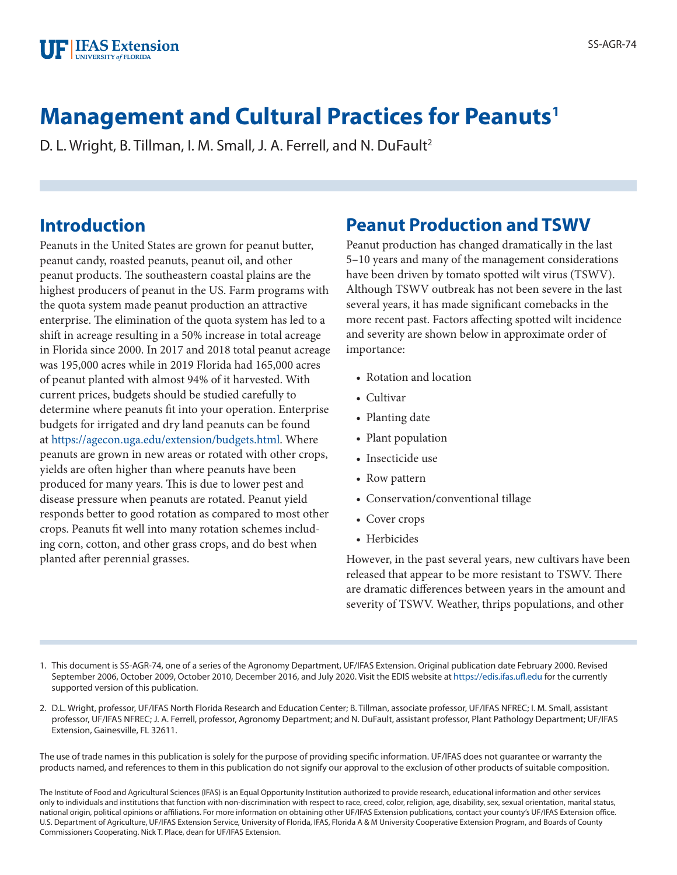

# **Management and Cultural Practices for Peanuts1**

D. L. Wright, B. Tillman, I. M. Small, J. A. Ferrell, and N. DuFault<sup>2</sup>

#### **Introduction**

Peanuts in the United States are grown for peanut butter, peanut candy, roasted peanuts, peanut oil, and other peanut products. The southeastern coastal plains are the highest producers of peanut in the US. Farm programs with the quota system made peanut production an attractive enterprise. The elimination of the quota system has led to a shift in acreage resulting in a 50% increase in total acreage in Florida since 2000. In 2017 and 2018 total peanut acreage was 195,000 acres while in 2019 Florida had 165,000 acres of peanut planted with almost 94% of it harvested. With current prices, budgets should be studied carefully to determine where peanuts fit into your operation. Enterprise budgets for irrigated and dry land peanuts can be found at<https://agecon.uga.edu/extension/budgets.html>. Where peanuts are grown in new areas or rotated with other crops, yields are often higher than where peanuts have been produced for many years. This is due to lower pest and disease pressure when peanuts are rotated. Peanut yield responds better to good rotation as compared to most other crops. Peanuts fit well into many rotation schemes including corn, cotton, and other grass crops, and do best when planted after perennial grasses.

# **Peanut Production and TSWV**

Peanut production has changed dramatically in the last 5–10 years and many of the management considerations have been driven by tomato spotted wilt virus (TSWV). Although TSWV outbreak has not been severe in the last several years, it has made significant comebacks in the more recent past. Factors affecting spotted wilt incidence and severity are shown below in approximate order of importance:

- Rotation and location
- Cultivar
- Planting date
- Plant population
- Insecticide use
- Row pattern
- Conservation/conventional tillage
- Cover crops
- Herbicides

However, in the past several years, new cultivars have been released that appear to be more resistant to TSWV. There are dramatic differences between years in the amount and severity of TSWV. Weather, thrips populations, and other

- 1. This document is SS-AGR-74, one of a series of the Agronomy Department, UF/IFAS Extension. Original publication date February 2000. Revised September 2006, October 2009, October 2010, December 2016, and July 2020. Visit the EDIS website at<https://edis.ifas.ufl.edu>for the currently supported version of this publication.
- 2. D.L. Wright, professor, UF/IFAS North Florida Research and Education Center; B. Tillman, associate professor, UF/IFAS NFREC; I. M. Small, assistant professor, UF/IFAS NFREC; J. A. Ferrell, professor, Agronomy Department; and N. DuFault, assistant professor, Plant Pathology Department; UF/IFAS Extension, Gainesville, FL 32611.

The use of trade names in this publication is solely for the purpose of providing specific information. UF/IFAS does not guarantee or warranty the products named, and references to them in this publication do not signify our approval to the exclusion of other products of suitable composition.

The Institute of Food and Agricultural Sciences (IFAS) is an Equal Opportunity Institution authorized to provide research, educational information and other services only to individuals and institutions that function with non-discrimination with respect to race, creed, color, religion, age, disability, sex, sexual orientation, marital status, national origin, political opinions or affiliations. For more information on obtaining other UF/IFAS Extension publications, contact your county's UF/IFAS Extension office. U.S. Department of Agriculture, UF/IFAS Extension Service, University of Florida, IFAS, Florida A & M University Cooperative Extension Program, and Boards of County Commissioners Cooperating. Nick T. Place, dean for UF/IFAS Extension.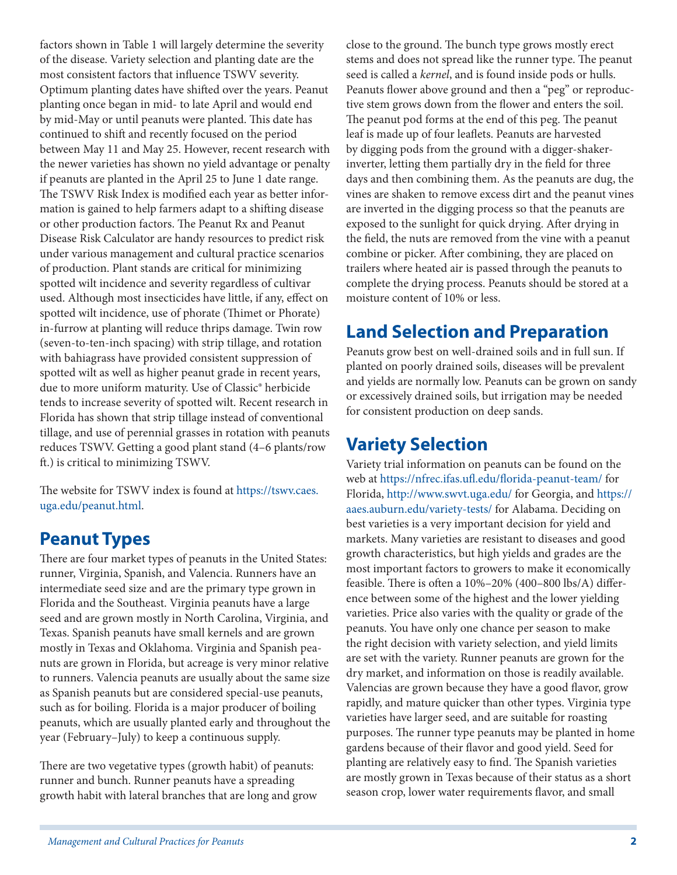factors shown in Table 1 will largely determine the severity of the disease. Variety selection and planting date are the most consistent factors that influence TSWV severity. Optimum planting dates have shifted over the years. Peanut planting once began in mid- to late April and would end by mid-May or until peanuts were planted. This date has continued to shift and recently focused on the period between May 11 and May 25. However, recent research with the newer varieties has shown no yield advantage or penalty if peanuts are planted in the April 25 to June 1 date range. The TSWV Risk Index is modified each year as better information is gained to help farmers adapt to a shifting disease or other production factors. The Peanut Rx and Peanut Disease Risk Calculator are handy resources to predict risk under various management and cultural practice scenarios of production. Plant stands are critical for minimizing spotted wilt incidence and severity regardless of cultivar used. Although most insecticides have little, if any, effect on spotted wilt incidence, use of phorate (Thimet or Phorate) in-furrow at planting will reduce thrips damage. Twin row (seven-to-ten-inch spacing) with strip tillage, and rotation with bahiagrass have provided consistent suppression of spotted wilt as well as higher peanut grade in recent years, due to more uniform maturity. Use of Classic® herbicide tends to increase severity of spotted wilt. Recent research in Florida has shown that strip tillage instead of conventional tillage, and use of perennial grasses in rotation with peanuts reduces TSWV. Getting a good plant stand (4–6 plants/row ft.) is critical to minimizing TSWV.

The website for TSWV index is found at [https://tswv.caes.](https://tswv.caes.uga.edu/peanut.html) [uga.edu/peanut.html.](https://tswv.caes.uga.edu/peanut.html)

### **Peanut Types**

There are four market types of peanuts in the United States: runner, Virginia, Spanish, and Valencia. Runners have an intermediate seed size and are the primary type grown in Florida and the Southeast. Virginia peanuts have a large seed and are grown mostly in North Carolina, Virginia, and Texas. Spanish peanuts have small kernels and are grown mostly in Texas and Oklahoma. Virginia and Spanish peanuts are grown in Florida, but acreage is very minor relative to runners. Valencia peanuts are usually about the same size as Spanish peanuts but are considered special-use peanuts, such as for boiling. Florida is a major producer of boiling peanuts, which are usually planted early and throughout the year (February–July) to keep a continuous supply.

There are two vegetative types (growth habit) of peanuts: runner and bunch. Runner peanuts have a spreading growth habit with lateral branches that are long and grow close to the ground. The bunch type grows mostly erect stems and does not spread like the runner type. The peanut seed is called a *kernel*, and is found inside pods or hulls. Peanuts flower above ground and then a "peg" or reproductive stem grows down from the flower and enters the soil. The peanut pod forms at the end of this peg. The peanut leaf is made up of four leaflets. Peanuts are harvested by digging pods from the ground with a digger-shakerinverter, letting them partially dry in the field for three days and then combining them. As the peanuts are dug, the vines are shaken to remove excess dirt and the peanut vines are inverted in the digging process so that the peanuts are exposed to the sunlight for quick drying. After drying in the field, the nuts are removed from the vine with a peanut combine or picker. After combining, they are placed on trailers where heated air is passed through the peanuts to complete the drying process. Peanuts should be stored at a moisture content of 10% or less.

# **Land Selection and Preparation**

Peanuts grow best on well-drained soils and in full sun. If planted on poorly drained soils, diseases will be prevalent and yields are normally low. Peanuts can be grown on sandy or excessively drained soils, but irrigation may be needed for consistent production on deep sands.

# **Variety Selection**

Variety trial information on peanuts can be found on the web at <https://nfrec.ifas.ufl.edu/florida-peanut-team/>for Florida,<http://www.swvt.uga.edu/> for Georgia, and [https://](https://aaes.auburn.edu/variety-tests/) [aaes.auburn.edu/variety-tests/](https://aaes.auburn.edu/variety-tests/) for Alabama. Deciding on best varieties is a very important decision for yield and markets. Many varieties are resistant to diseases and good growth characteristics, but high yields and grades are the most important factors to growers to make it economically feasible. There is often a 10%–20% (400–800 lbs/A) difference between some of the highest and the lower yielding varieties. Price also varies with the quality or grade of the peanuts. You have only one chance per season to make the right decision with variety selection, and yield limits are set with the variety. Runner peanuts are grown for the dry market, and information on those is readily available. Valencias are grown because they have a good flavor, grow rapidly, and mature quicker than other types. Virginia type varieties have larger seed, and are suitable for roasting purposes. The runner type peanuts may be planted in home gardens because of their flavor and good yield. Seed for planting are relatively easy to find. The Spanish varieties are mostly grown in Texas because of their status as a short season crop, lower water requirements flavor, and small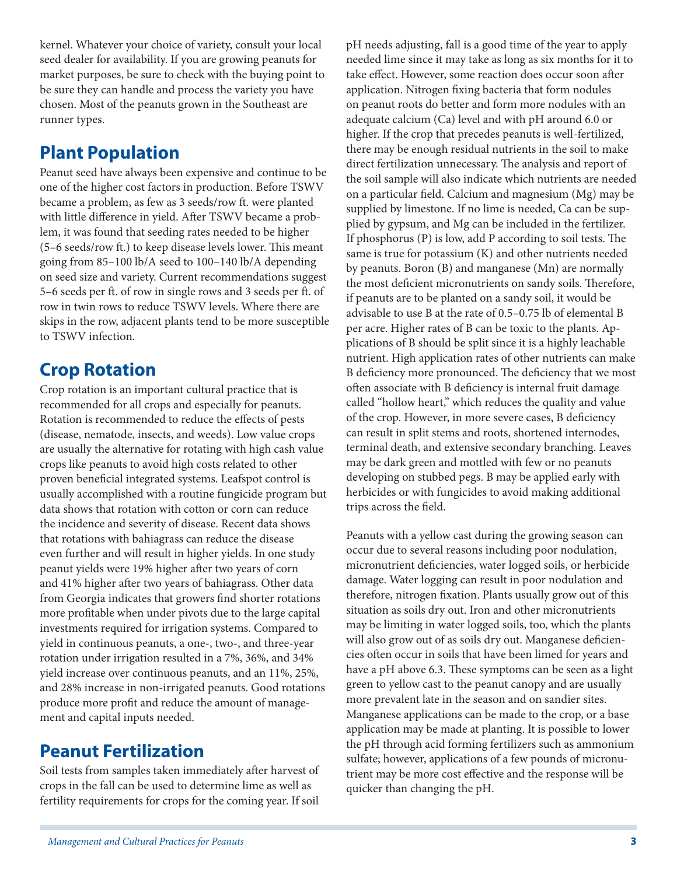kernel. Whatever your choice of variety, consult your local seed dealer for availability. If you are growing peanuts for market purposes, be sure to check with the buying point to be sure they can handle and process the variety you have chosen. Most of the peanuts grown in the Southeast are runner types.

# **Plant Population**

Peanut seed have always been expensive and continue to be one of the higher cost factors in production. Before TSWV became a problem, as few as 3 seeds/row ft. were planted with little difference in yield. After TSWV became a problem, it was found that seeding rates needed to be higher (5–6 seeds/row ft.) to keep disease levels lower. This meant going from 85–100 lb/A seed to 100–140 lb/A depending on seed size and variety. Current recommendations suggest 5–6 seeds per ft. of row in single rows and 3 seeds per ft. of row in twin rows to reduce TSWV levels. Where there are skips in the row, adjacent plants tend to be more susceptible to TSWV infection.

#### **Crop Rotation**

Crop rotation is an important cultural practice that is recommended for all crops and especially for peanuts. Rotation is recommended to reduce the effects of pests (disease, nematode, insects, and weeds). Low value crops are usually the alternative for rotating with high cash value crops like peanuts to avoid high costs related to other proven beneficial integrated systems. Leafspot control is usually accomplished with a routine fungicide program but data shows that rotation with cotton or corn can reduce the incidence and severity of disease. Recent data shows that rotations with bahiagrass can reduce the disease even further and will result in higher yields. In one study peanut yields were 19% higher after two years of corn and 41% higher after two years of bahiagrass. Other data from Georgia indicates that growers find shorter rotations more profitable when under pivots due to the large capital investments required for irrigation systems. Compared to yield in continuous peanuts, a one-, two-, and three-year rotation under irrigation resulted in a 7%, 36%, and 34% yield increase over continuous peanuts, and an 11%, 25%, and 28% increase in non-irrigated peanuts. Good rotations produce more profit and reduce the amount of management and capital inputs needed.

### **Peanut Fertilization**

Soil tests from samples taken immediately after harvest of crops in the fall can be used to determine lime as well as fertility requirements for crops for the coming year. If soil

pH needs adjusting, fall is a good time of the year to apply needed lime since it may take as long as six months for it to take effect. However, some reaction does occur soon after application. Nitrogen fixing bacteria that form nodules on peanut roots do better and form more nodules with an adequate calcium (Ca) level and with pH around 6.0 or higher. If the crop that precedes peanuts is well-fertilized, there may be enough residual nutrients in the soil to make direct fertilization unnecessary. The analysis and report of the soil sample will also indicate which nutrients are needed on a particular field. Calcium and magnesium (Mg) may be supplied by limestone. If no lime is needed, Ca can be supplied by gypsum, and Mg can be included in the fertilizer. If phosphorus (P) is low, add P according to soil tests. The same is true for potassium (K) and other nutrients needed by peanuts. Boron (B) and manganese (Mn) are normally the most deficient micronutrients on sandy soils. Therefore, if peanuts are to be planted on a sandy soil, it would be advisable to use B at the rate of 0.5–0.75 lb of elemental B per acre. Higher rates of B can be toxic to the plants. Applications of B should be split since it is a highly leachable nutrient. High application rates of other nutrients can make B deficiency more pronounced. The deficiency that we most often associate with B deficiency is internal fruit damage called "hollow heart," which reduces the quality and value of the crop. However, in more severe cases, B deficiency can result in split stems and roots, shortened internodes, terminal death, and extensive secondary branching. Leaves may be dark green and mottled with few or no peanuts developing on stubbed pegs. B may be applied early with herbicides or with fungicides to avoid making additional trips across the field.

Peanuts with a yellow cast during the growing season can occur due to several reasons including poor nodulation, micronutrient deficiencies, water logged soils, or herbicide damage. Water logging can result in poor nodulation and therefore, nitrogen fixation. Plants usually grow out of this situation as soils dry out. Iron and other micronutrients may be limiting in water logged soils, too, which the plants will also grow out of as soils dry out. Manganese deficiencies often occur in soils that have been limed for years and have a pH above 6.3. These symptoms can be seen as a light green to yellow cast to the peanut canopy and are usually more prevalent late in the season and on sandier sites. Manganese applications can be made to the crop, or a base application may be made at planting. It is possible to lower the pH through acid forming fertilizers such as ammonium sulfate; however, applications of a few pounds of micronutrient may be more cost effective and the response will be quicker than changing the pH.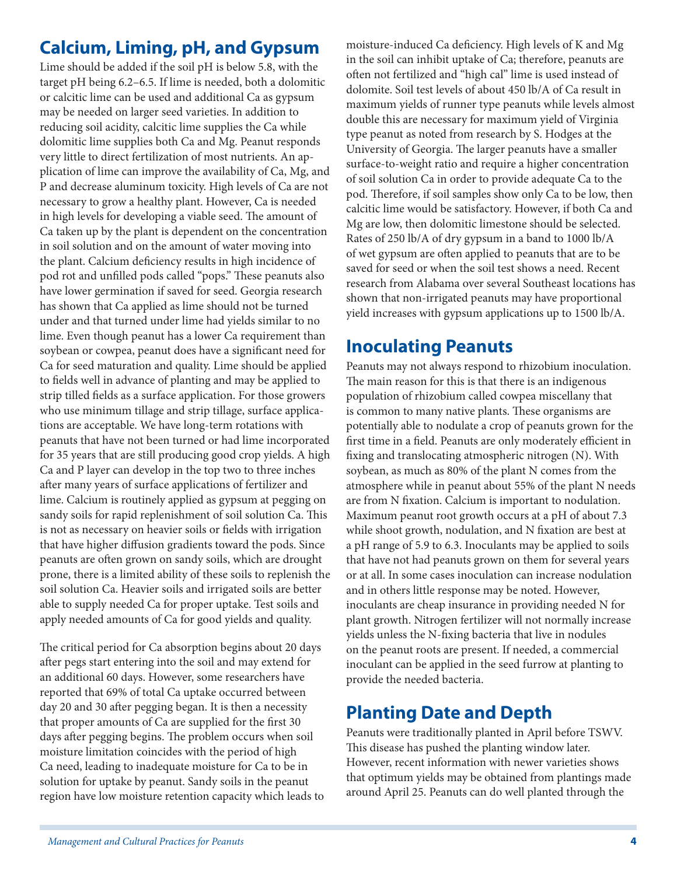# **Calcium, Liming, pH, and Gypsum**

Lime should be added if the soil pH is below 5.8, with the target pH being 6.2–6.5. If lime is needed, both a dolomitic or calcitic lime can be used and additional Ca as gypsum may be needed on larger seed varieties. In addition to reducing soil acidity, calcitic lime supplies the Ca while dolomitic lime supplies both Ca and Mg. Peanut responds very little to direct fertilization of most nutrients. An application of lime can improve the availability of Ca, Mg, and P and decrease aluminum toxicity. High levels of Ca are not necessary to grow a healthy plant. However, Ca is needed in high levels for developing a viable seed. The amount of Ca taken up by the plant is dependent on the concentration in soil solution and on the amount of water moving into the plant. Calcium deficiency results in high incidence of pod rot and unfilled pods called "pops." These peanuts also have lower germination if saved for seed. Georgia research has shown that Ca applied as lime should not be turned under and that turned under lime had yields similar to no lime. Even though peanut has a lower Ca requirement than soybean or cowpea, peanut does have a significant need for Ca for seed maturation and quality. Lime should be applied to fields well in advance of planting and may be applied to strip tilled fields as a surface application. For those growers who use minimum tillage and strip tillage, surface applications are acceptable. We have long-term rotations with peanuts that have not been turned or had lime incorporated for 35 years that are still producing good crop yields. A high Ca and P layer can develop in the top two to three inches after many years of surface applications of fertilizer and lime. Calcium is routinely applied as gypsum at pegging on sandy soils for rapid replenishment of soil solution Ca. This is not as necessary on heavier soils or fields with irrigation that have higher diffusion gradients toward the pods. Since peanuts are often grown on sandy soils, which are drought prone, there is a limited ability of these soils to replenish the soil solution Ca. Heavier soils and irrigated soils are better able to supply needed Ca for proper uptake. Test soils and apply needed amounts of Ca for good yields and quality.

The critical period for Ca absorption begins about 20 days after pegs start entering into the soil and may extend for an additional 60 days. However, some researchers have reported that 69% of total Ca uptake occurred between day 20 and 30 after pegging began. It is then a necessity that proper amounts of Ca are supplied for the first 30 days after pegging begins. The problem occurs when soil moisture limitation coincides with the period of high Ca need, leading to inadequate moisture for Ca to be in solution for uptake by peanut. Sandy soils in the peanut region have low moisture retention capacity which leads to moisture-induced Ca deficiency. High levels of K and Mg in the soil can inhibit uptake of Ca; therefore, peanuts are often not fertilized and "high cal" lime is used instead of dolomite. Soil test levels of about 450 lb/A of Ca result in maximum yields of runner type peanuts while levels almost double this are necessary for maximum yield of Virginia type peanut as noted from research by S. Hodges at the University of Georgia. The larger peanuts have a smaller surface-to-weight ratio and require a higher concentration of soil solution Ca in order to provide adequate Ca to the pod. Therefore, if soil samples show only Ca to be low, then calcitic lime would be satisfactory. However, if both Ca and Mg are low, then dolomitic limestone should be selected. Rates of 250 lb/A of dry gypsum in a band to 1000 lb/A of wet gypsum are often applied to peanuts that are to be saved for seed or when the soil test shows a need. Recent research from Alabama over several Southeast locations has shown that non-irrigated peanuts may have proportional yield increases with gypsum applications up to 1500 lb/A.

#### **Inoculating Peanuts**

Peanuts may not always respond to rhizobium inoculation. The main reason for this is that there is an indigenous population of rhizobium called cowpea miscellany that is common to many native plants. These organisms are potentially able to nodulate a crop of peanuts grown for the first time in a field. Peanuts are only moderately efficient in fixing and translocating atmospheric nitrogen (N). With soybean, as much as 80% of the plant N comes from the atmosphere while in peanut about 55% of the plant N needs are from N fixation. Calcium is important to nodulation. Maximum peanut root growth occurs at a pH of about 7.3 while shoot growth, nodulation, and N fixation are best at a pH range of 5.9 to 6.3. Inoculants may be applied to soils that have not had peanuts grown on them for several years or at all. In some cases inoculation can increase nodulation and in others little response may be noted. However, inoculants are cheap insurance in providing needed N for plant growth. Nitrogen fertilizer will not normally increase yields unless the N-fixing bacteria that live in nodules on the peanut roots are present. If needed, a commercial inoculant can be applied in the seed furrow at planting to provide the needed bacteria.

### **Planting Date and Depth**

Peanuts were traditionally planted in April before TSWV. This disease has pushed the planting window later. However, recent information with newer varieties shows that optimum yields may be obtained from plantings made around April 25. Peanuts can do well planted through the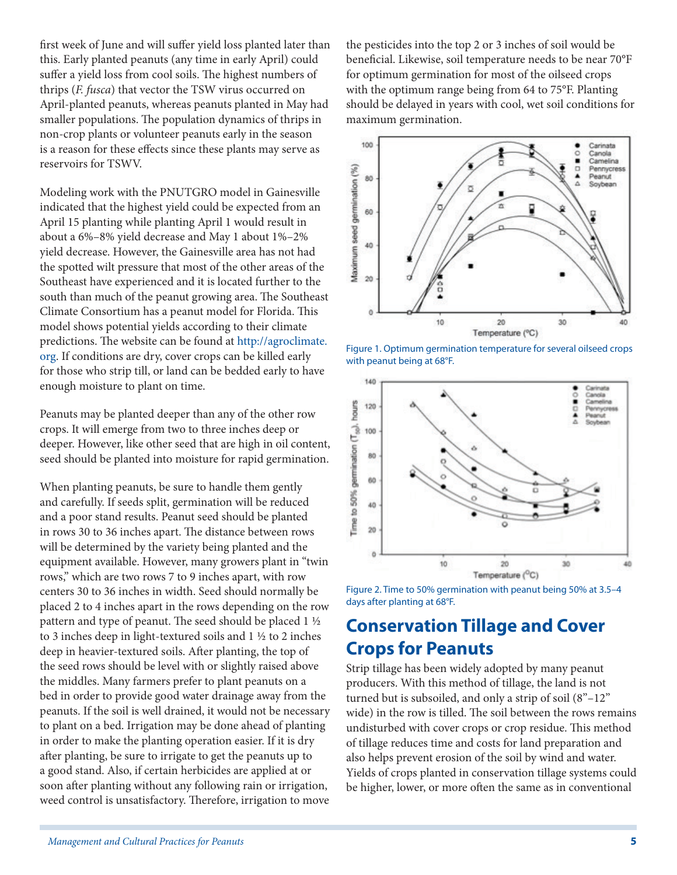first week of June and will suffer yield loss planted later than this. Early planted peanuts (any time in early April) could suffer a yield loss from cool soils. The highest numbers of thrips (*F. fusca*) that vector the TSW virus occurred on April-planted peanuts, whereas peanuts planted in May had smaller populations. The population dynamics of thrips in non-crop plants or volunteer peanuts early in the season is a reason for these effects since these plants may serve as reservoirs for TSWV.

Modeling work with the PNUTGRO model in Gainesville indicated that the highest yield could be expected from an April 15 planting while planting April 1 would result in about a 6%–8% yield decrease and May 1 about 1%–2% yield decrease. However, the Gainesville area has not had the spotted wilt pressure that most of the other areas of the Southeast have experienced and it is located further to the south than much of the peanut growing area. The Southeast Climate Consortium has a peanut model for Florida. This model shows potential yields according to their climate predictions. The website can be found at [http://agroclimate.](http://agroclimate.org/) [org.](http://agroclimate.org/) If conditions are dry, cover crops can be killed early for those who strip till, or land can be bedded early to have enough moisture to plant on time.

Peanuts may be planted deeper than any of the other row crops. It will emerge from two to three inches deep or deeper. However, like other seed that are high in oil content, seed should be planted into moisture for rapid germination.

When planting peanuts, be sure to handle them gently and carefully. If seeds split, germination will be reduced and a poor stand results. Peanut seed should be planted in rows 30 to 36 inches apart. The distance between rows will be determined by the variety being planted and the equipment available. However, many growers plant in "twin rows," which are two rows 7 to 9 inches apart, with row centers 30 to 36 inches in width. Seed should normally be placed 2 to 4 inches apart in the rows depending on the row pattern and type of peanut. The seed should be placed 1 ½ to 3 inches deep in light-textured soils and 1 ½ to 2 inches deep in heavier-textured soils. After planting, the top of the seed rows should be level with or slightly raised above the middles. Many farmers prefer to plant peanuts on a bed in order to provide good water drainage away from the peanuts. If the soil is well drained, it would not be necessary to plant on a bed. Irrigation may be done ahead of planting in order to make the planting operation easier. If it is dry after planting, be sure to irrigate to get the peanuts up to a good stand. Also, if certain herbicides are applied at or soon after planting without any following rain or irrigation, weed control is unsatisfactory. Therefore, irrigation to move

the pesticides into the top 2 or 3 inches of soil would be beneficial. Likewise, soil temperature needs to be near 70°F for optimum germination for most of the oilseed crops with the optimum range being from 64 to 75°F. Planting should be delayed in years with cool, wet soil conditions for maximum germination.



Figure 1. Optimum germination temperature for several oilseed crops with peanut being at 68°F.



Figure 2. Time to 50% germination with peanut being 50% at 3.5–4 days after planting at 68°F.

# **Conservation Tillage and Cover Crops for Peanuts**

Strip tillage has been widely adopted by many peanut producers. With this method of tillage, the land is not turned but is subsoiled, and only a strip of soil (8"–12" wide) in the row is tilled. The soil between the rows remains undisturbed with cover crops or crop residue. This method of tillage reduces time and costs for land preparation and also helps prevent erosion of the soil by wind and water. Yields of crops planted in conservation tillage systems could be higher, lower, or more often the same as in conventional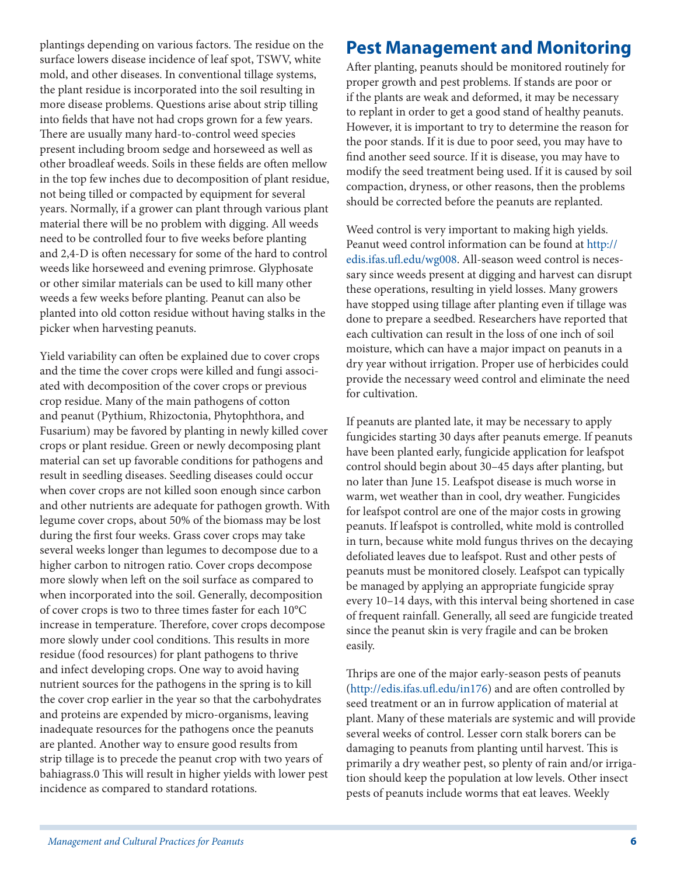plantings depending on various factors. The residue on the surface lowers disease incidence of leaf spot, TSWV, white mold, and other diseases. In conventional tillage systems, the plant residue is incorporated into the soil resulting in more disease problems. Questions arise about strip tilling into fields that have not had crops grown for a few years. There are usually many hard-to-control weed species present including broom sedge and horseweed as well as other broadleaf weeds. Soils in these fields are often mellow in the top few inches due to decomposition of plant residue, not being tilled or compacted by equipment for several years. Normally, if a grower can plant through various plant material there will be no problem with digging. All weeds need to be controlled four to five weeks before planting and 2,4-D is often necessary for some of the hard to control weeds like horseweed and evening primrose. Glyphosate or other similar materials can be used to kill many other weeds a few weeks before planting. Peanut can also be planted into old cotton residue without having stalks in the picker when harvesting peanuts.

Yield variability can often be explained due to cover crops and the time the cover crops were killed and fungi associated with decomposition of the cover crops or previous crop residue. Many of the main pathogens of cotton and peanut (Pythium, Rhizoctonia, Phytophthora, and Fusarium) may be favored by planting in newly killed cover crops or plant residue. Green or newly decomposing plant material can set up favorable conditions for pathogens and result in seedling diseases. Seedling diseases could occur when cover crops are not killed soon enough since carbon and other nutrients are adequate for pathogen growth. With legume cover crops, about 50% of the biomass may be lost during the first four weeks. Grass cover crops may take several weeks longer than legumes to decompose due to a higher carbon to nitrogen ratio. Cover crops decompose more slowly when left on the soil surface as compared to when incorporated into the soil. Generally, decomposition of cover crops is two to three times faster for each 10°C increase in temperature. Therefore, cover crops decompose more slowly under cool conditions. This results in more residue (food resources) for plant pathogens to thrive and infect developing crops. One way to avoid having nutrient sources for the pathogens in the spring is to kill the cover crop earlier in the year so that the carbohydrates and proteins are expended by micro-organisms, leaving inadequate resources for the pathogens once the peanuts are planted. Another way to ensure good results from strip tillage is to precede the peanut crop with two years of bahiagrass.0 This will result in higher yields with lower pest incidence as compared to standard rotations.

### **Pest Management and Monitoring**

After planting, peanuts should be monitored routinely for proper growth and pest problems. If stands are poor or if the plants are weak and deformed, it may be necessary to replant in order to get a good stand of healthy peanuts. However, it is important to try to determine the reason for the poor stands. If it is due to poor seed, you may have to find another seed source. If it is disease, you may have to modify the seed treatment being used. If it is caused by soil compaction, dryness, or other reasons, then the problems should be corrected before the peanuts are replanted.

Weed control is very important to making high yields. Peanut weed control information can be found at [http://](http://edis.ifas.ufl.edu/wg008) [edis.ifas.ufl.edu/wg008](http://edis.ifas.ufl.edu/wg008). All-season weed control is necessary since weeds present at digging and harvest can disrupt these operations, resulting in yield losses. Many growers have stopped using tillage after planting even if tillage was done to prepare a seedbed. Researchers have reported that each cultivation can result in the loss of one inch of soil moisture, which can have a major impact on peanuts in a dry year without irrigation. Proper use of herbicides could provide the necessary weed control and eliminate the need for cultivation.

If peanuts are planted late, it may be necessary to apply fungicides starting 30 days after peanuts emerge. If peanuts have been planted early, fungicide application for leafspot control should begin about 30–45 days after planting, but no later than June 15. Leafspot disease is much worse in warm, wet weather than in cool, dry weather. Fungicides for leafspot control are one of the major costs in growing peanuts. If leafspot is controlled, white mold is controlled in turn, because white mold fungus thrives on the decaying defoliated leaves due to leafspot. Rust and other pests of peanuts must be monitored closely. Leafspot can typically be managed by applying an appropriate fungicide spray every 10–14 days, with this interval being shortened in case of frequent rainfall. Generally, all seed are fungicide treated since the peanut skin is very fragile and can be broken easily.

Thrips are one of the major early-season pests of peanuts [\(http://edis.ifas.ufl.edu/in176](http://edis.ifas.ufl.edu/in176)) and are often controlled by seed treatment or an in furrow application of material at plant. Many of these materials are systemic and will provide several weeks of control. Lesser corn stalk borers can be damaging to peanuts from planting until harvest. This is primarily a dry weather pest, so plenty of rain and/or irrigation should keep the population at low levels. Other insect pests of peanuts include worms that eat leaves. Weekly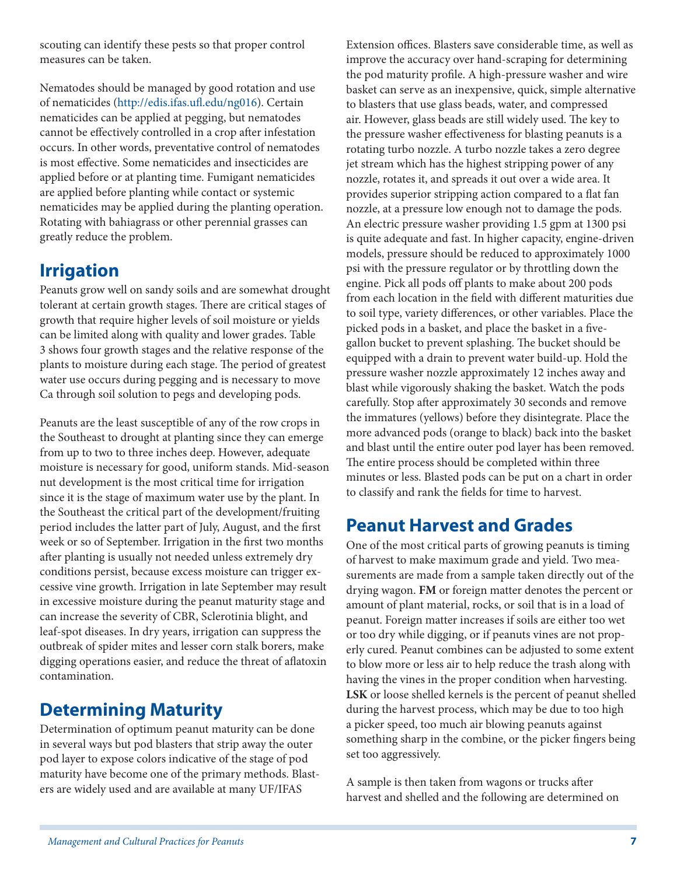scouting can identify these pests so that proper control measures can be taken.

Nematodes should be managed by good rotation and use of nematicides [\(http://edis.ifas.ufl.edu/ng016](http://edis.ifas.ufl.edu/ng016)). Certain nematicides can be applied at pegging, but nematodes cannot be effectively controlled in a crop after infestation occurs. In other words, preventative control of nematodes is most effective. Some nematicides and insecticides are applied before or at planting time. Fumigant nematicides are applied before planting while contact or systemic nematicides may be applied during the planting operation. Rotating with bahiagrass or other perennial grasses can greatly reduce the problem.

#### **Irrigation**

Peanuts grow well on sandy soils and are somewhat drought tolerant at certain growth stages. There are critical stages of growth that require higher levels of soil moisture or yields can be limited along with quality and lower grades. Table 3 shows four growth stages and the relative response of the plants to moisture during each stage. The period of greatest water use occurs during pegging and is necessary to move Ca through soil solution to pegs and developing pods.

Peanuts are the least susceptible of any of the row crops in the Southeast to drought at planting since they can emerge from up to two to three inches deep. However, adequate moisture is necessary for good, uniform stands. Mid-season nut development is the most critical time for irrigation since it is the stage of maximum water use by the plant. In the Southeast the critical part of the development/fruiting period includes the latter part of July, August, and the first week or so of September. Irrigation in the first two months after planting is usually not needed unless extremely dry conditions persist, because excess moisture can trigger excessive vine growth. Irrigation in late September may result in excessive moisture during the peanut maturity stage and can increase the severity of CBR, Sclerotinia blight, and leaf-spot diseases. In dry years, irrigation can suppress the outbreak of spider mites and lesser corn stalk borers, make digging operations easier, and reduce the threat of aflatoxin contamination.

### **Determining Maturity**

Determination of optimum peanut maturity can be done in several ways but pod blasters that strip away the outer pod layer to expose colors indicative of the stage of pod maturity have become one of the primary methods. Blasters are widely used and are available at many UF/IFAS

Extension offices. Blasters save considerable time, as well as improve the accuracy over hand-scraping for determining the pod maturity profile. A high-pressure washer and wire basket can serve as an inexpensive, quick, simple alternative to blasters that use glass beads, water, and compressed air. However, glass beads are still widely used. The key to the pressure washer effectiveness for blasting peanuts is a rotating turbo nozzle. A turbo nozzle takes a zero degree jet stream which has the highest stripping power of any nozzle, rotates it, and spreads it out over a wide area. It provides superior stripping action compared to a flat fan nozzle, at a pressure low enough not to damage the pods. An electric pressure washer providing 1.5 gpm at 1300 psi is quite adequate and fast. In higher capacity, engine-driven models, pressure should be reduced to approximately 1000 psi with the pressure regulator or by throttling down the engine. Pick all pods off plants to make about 200 pods from each location in the field with different maturities due to soil type, variety differences, or other variables. Place the picked pods in a basket, and place the basket in a fivegallon bucket to prevent splashing. The bucket should be equipped with a drain to prevent water build-up. Hold the pressure washer nozzle approximately 12 inches away and blast while vigorously shaking the basket. Watch the pods carefully. Stop after approximately 30 seconds and remove the immatures (yellows) before they disintegrate. Place the more advanced pods (orange to black) back into the basket and blast until the entire outer pod layer has been removed. The entire process should be completed within three minutes or less. Blasted pods can be put on a chart in order to classify and rank the fields for time to harvest.

# **Peanut Harvest and Grades**

One of the most critical parts of growing peanuts is timing of harvest to make maximum grade and yield. Two measurements are made from a sample taken directly out of the drying wagon. **FM** or foreign matter denotes the percent or amount of plant material, rocks, or soil that is in a load of peanut. Foreign matter increases if soils are either too wet or too dry while digging, or if peanuts vines are not properly cured. Peanut combines can be adjusted to some extent to blow more or less air to help reduce the trash along with having the vines in the proper condition when harvesting. **LSK** or loose shelled kernels is the percent of peanut shelled during the harvest process, which may be due to too high a picker speed, too much air blowing peanuts against something sharp in the combine, or the picker fingers being set too aggressively.

A sample is then taken from wagons or trucks after harvest and shelled and the following are determined on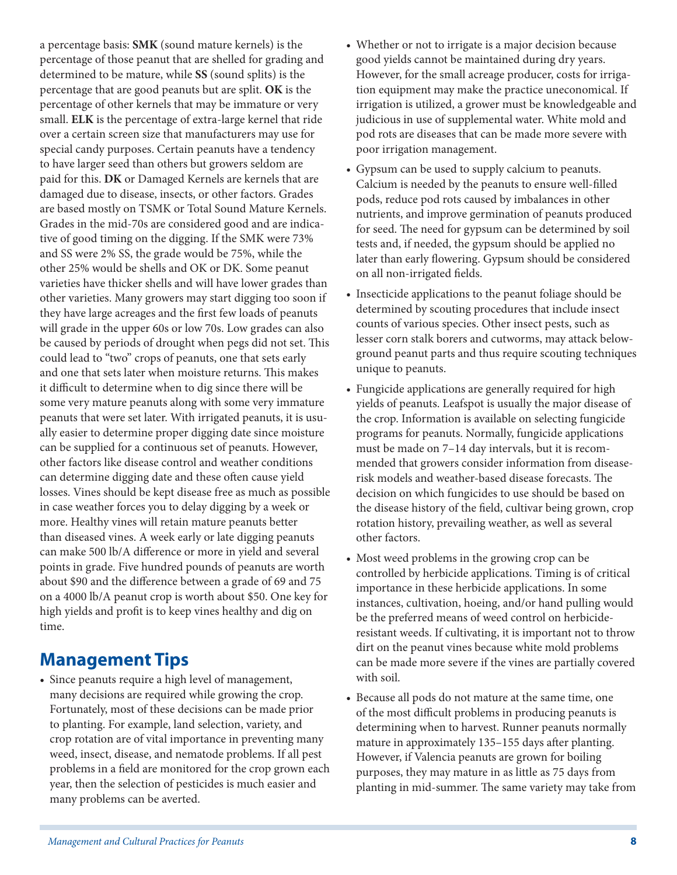a percentage basis: **SMK** (sound mature kernels) is the percentage of those peanut that are shelled for grading and determined to be mature, while **SS** (sound splits) is the percentage that are good peanuts but are split. **OK** is the percentage of other kernels that may be immature or very small. **ELK** is the percentage of extra-large kernel that ride over a certain screen size that manufacturers may use for special candy purposes. Certain peanuts have a tendency to have larger seed than others but growers seldom are paid for this. **DK** or Damaged Kernels are kernels that are damaged due to disease, insects, or other factors. Grades are based mostly on TSMK or Total Sound Mature Kernels. Grades in the mid-70s are considered good and are indicative of good timing on the digging. If the SMK were 73% and SS were 2% SS, the grade would be 75%, while the other 25% would be shells and OK or DK. Some peanut varieties have thicker shells and will have lower grades than other varieties. Many growers may start digging too soon if they have large acreages and the first few loads of peanuts will grade in the upper 60s or low 70s. Low grades can also be caused by periods of drought when pegs did not set. This could lead to "two" crops of peanuts, one that sets early and one that sets later when moisture returns. This makes it difficult to determine when to dig since there will be some very mature peanuts along with some very immature peanuts that were set later. With irrigated peanuts, it is usually easier to determine proper digging date since moisture can be supplied for a continuous set of peanuts. However, other factors like disease control and weather conditions can determine digging date and these often cause yield losses. Vines should be kept disease free as much as possible in case weather forces you to delay digging by a week or more. Healthy vines will retain mature peanuts better than diseased vines. A week early or late digging peanuts can make 500 lb/A difference or more in yield and several points in grade. Five hundred pounds of peanuts are worth about \$90 and the difference between a grade of 69 and 75 on a 4000 lb/A peanut crop is worth about \$50. One key for high yields and profit is to keep vines healthy and dig on time.

#### **Management Tips**

• Since peanuts require a high level of management, many decisions are required while growing the crop. Fortunately, most of these decisions can be made prior to planting. For example, land selection, variety, and crop rotation are of vital importance in preventing many weed, insect, disease, and nematode problems. If all pest problems in a field are monitored for the crop grown each year, then the selection of pesticides is much easier and many problems can be averted.

- Whether or not to irrigate is a major decision because good yields cannot be maintained during dry years. However, for the small acreage producer, costs for irrigation equipment may make the practice uneconomical. If irrigation is utilized, a grower must be knowledgeable and judicious in use of supplemental water. White mold and pod rots are diseases that can be made more severe with poor irrigation management.
- Gypsum can be used to supply calcium to peanuts. Calcium is needed by the peanuts to ensure well-filled pods, reduce pod rots caused by imbalances in other nutrients, and improve germination of peanuts produced for seed. The need for gypsum can be determined by soil tests and, if needed, the gypsum should be applied no later than early flowering. Gypsum should be considered on all non-irrigated fields.
- Insecticide applications to the peanut foliage should be determined by scouting procedures that include insect counts of various species. Other insect pests, such as lesser corn stalk borers and cutworms, may attack belowground peanut parts and thus require scouting techniques unique to peanuts.
- Fungicide applications are generally required for high yields of peanuts. Leafspot is usually the major disease of the crop. Information is available on selecting fungicide programs for peanuts. Normally, fungicide applications must be made on 7–14 day intervals, but it is recommended that growers consider information from diseaserisk models and weather-based disease forecasts. The decision on which fungicides to use should be based on the disease history of the field, cultivar being grown, crop rotation history, prevailing weather, as well as several other factors.
- Most weed problems in the growing crop can be controlled by herbicide applications. Timing is of critical importance in these herbicide applications. In some instances, cultivation, hoeing, and/or hand pulling would be the preferred means of weed control on herbicideresistant weeds. If cultivating, it is important not to throw dirt on the peanut vines because white mold problems can be made more severe if the vines are partially covered with soil.
- Because all pods do not mature at the same time, one of the most difficult problems in producing peanuts is determining when to harvest. Runner peanuts normally mature in approximately 135–155 days after planting. However, if Valencia peanuts are grown for boiling purposes, they may mature in as little as 75 days from planting in mid-summer. The same variety may take from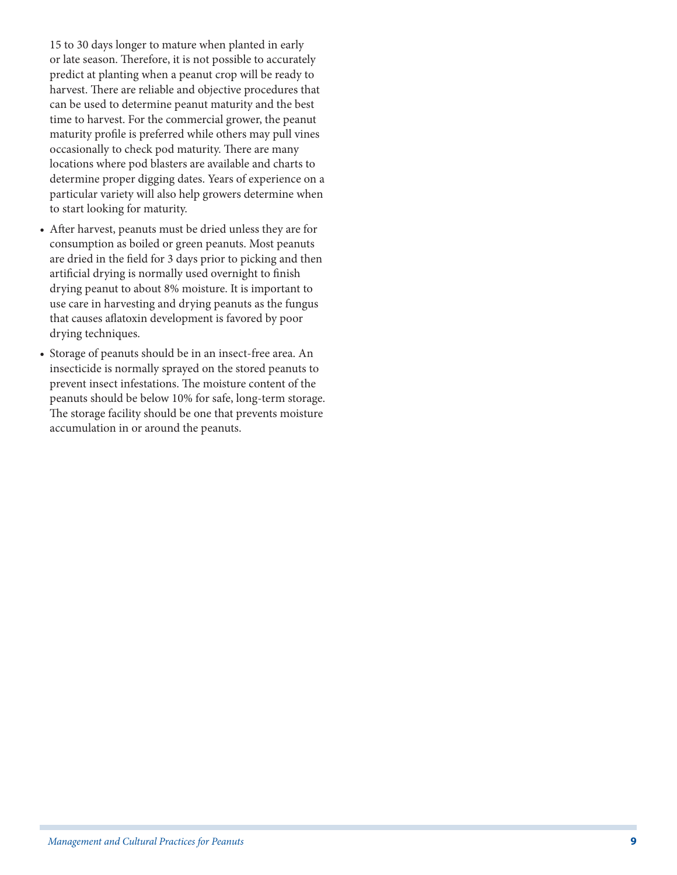15 to 30 days longer to mature when planted in early or late season. Therefore, it is not possible to accurately predict at planting when a peanut crop will be ready to harvest. There are reliable and objective procedures that can be used to determine peanut maturity and the best time to harvest. For the commercial grower, the peanut maturity profile is preferred while others may pull vines occasionally to check pod maturity. There are many locations where pod blasters are available and charts to determine proper digging dates. Years of experience on a particular variety will also help growers determine when to start looking for maturity.

- After harvest, peanuts must be dried unless they are for consumption as boiled or green peanuts. Most peanuts are dried in the field for 3 days prior to picking and then artificial drying is normally used overnight to finish drying peanut to about 8% moisture. It is important to use care in harvesting and drying peanuts as the fungus that causes aflatoxin development is favored by poor drying techniques.
- Storage of peanuts should be in an insect-free area. An insecticide is normally sprayed on the stored peanuts to prevent insect infestations. The moisture content of the peanuts should be below 10% for safe, long-term storage. The storage facility should be one that prevents moisture accumulation in or around the peanuts.